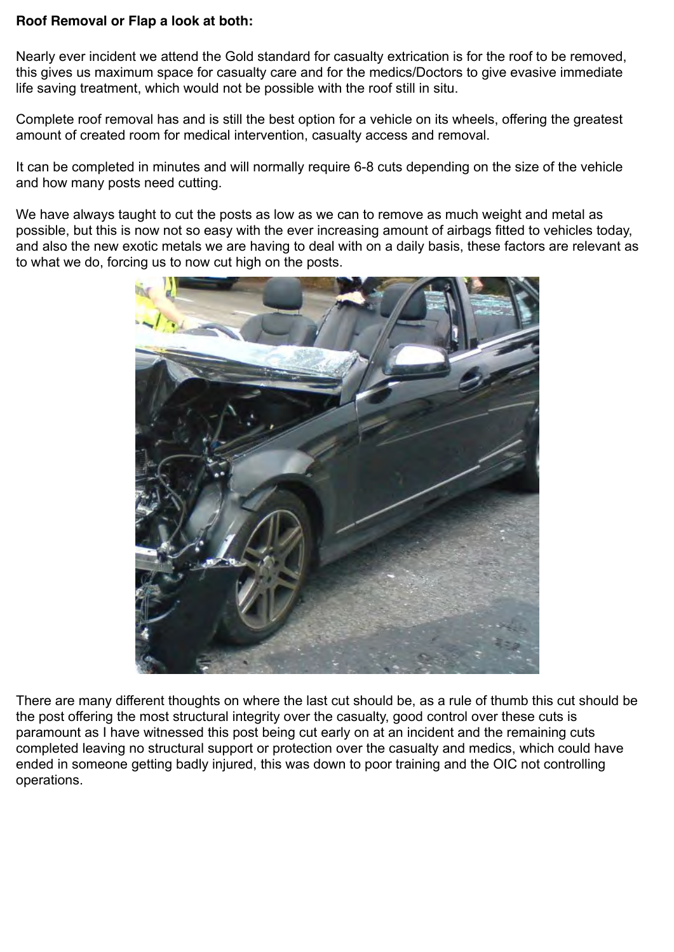## **Roof Removal or Flap a look at both:**

Nearly ever incident we attend the Gold standard for casualty extrication is for the roof to be removed, this gives us maximum space for casualty care and for the medics/Doctors to give evasive immediate life saving treatment, which would not be possible with the roof still in situ.

Complete roof removal has and is still the best option for a vehicle on its wheels, offering the greatest amount of created room for medical intervention, casualty access and removal.

It can be completed in minutes and will normally require 6-8 cuts depending on the size of the vehicle and how many posts need cutting.

We have always taught to cut the posts as low as we can to remove as much weight and metal as possible, but this is now not so easy with the ever increasing amount of airbags fitted to vehicles today, and also the new exotic metals we are having to deal with on a daily basis, these factors are relevant as to what we do, forcing us to now cut high on the posts.



There are many different thoughts on where the last cut should be, as a rule of thumb this cut should be the post offering the most structural integrity over the casualty, good control over these cuts is paramount as I have witnessed this post being cut early on at an incident and the remaining cuts completed leaving no structural support or protection over the casualty and medics, which could have ended in someone getting badly injured, this was down to poor training and the OIC not controlling operations.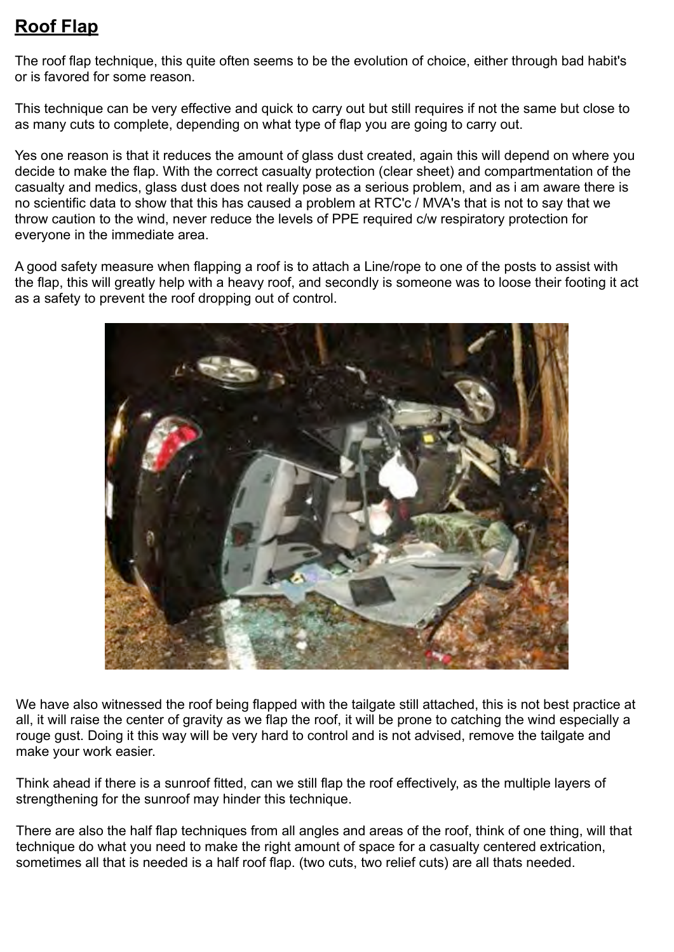## **Roof Flap**

The roof flap technique, this quite often seems to be the evolution of choice, either through bad habit's or is favored for some reason.

This technique can be very effective and quick to carry out but still requires if not the same but close to as many cuts to complete, depending on what type of flap you are going to carry out.

Yes one reason is that it reduces the amount of glass dust created, again this will depend on where you decide to make the flap. With the correct casualty protection (clear sheet) and compartmentation of the casualty and medics, glass dust does not really pose as a serious problem, and as i am aware there is no scientific data to show that this has caused a problem at RTC'c / MVA's that is not to say that we throw caution to the wind, never reduce the levels of PPE required c/w respiratory protection for everyone in the immediate area.

A good safety measure when flapping a roof is to attach a Line/rope to one of the posts to assist with the flap, this will greatly help with a heavy roof, and secondly is someone was to loose their footing it act as a safety to prevent the roof dropping out of control.



We have also witnessed the roof being flapped with the tailgate still attached, this is not best practice at all, it will raise the center of gravity as we flap the roof, it will be prone to catching the wind especially a rouge gust. Doing it this way will be very hard to control and is not advised, remove the tailgate and make your work easier.

Think ahead if there is a sunroof fitted, can we still flap the roof effectively, as the multiple layers of strengthening for the sunroof may hinder this technique.

There are also the half flap techniques from all angles and areas of the roof, think of one thing, will that technique do what you need to make the right amount of space for a casualty centered extrication, sometimes all that is needed is a half roof flap. (two cuts, two relief cuts) are all thats needed.